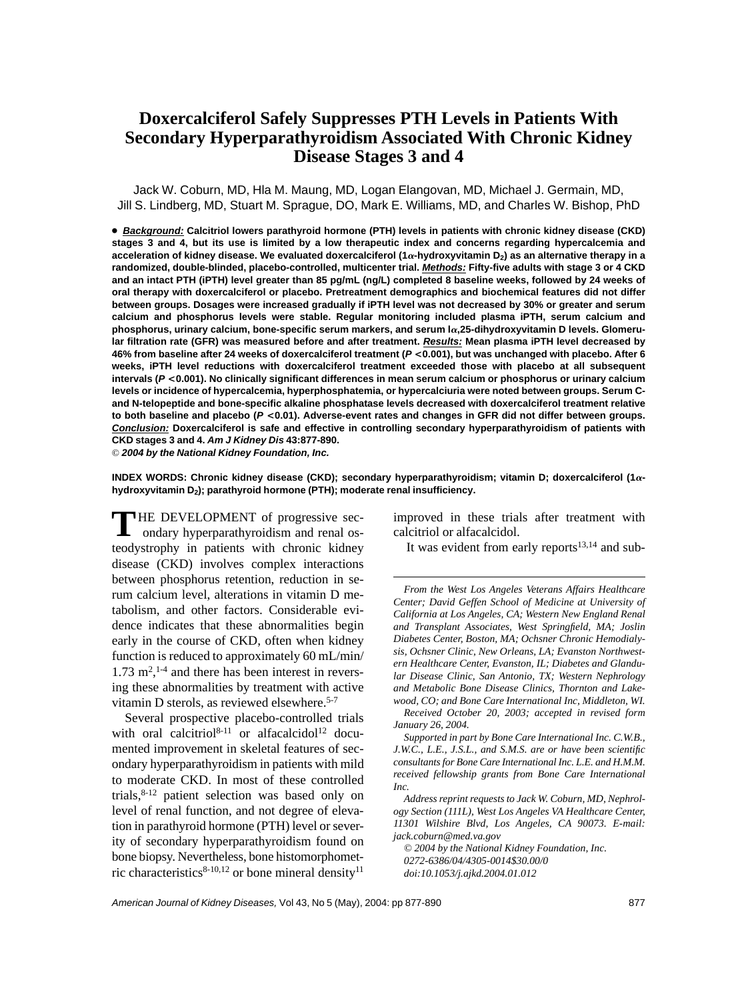# **Doxercalciferol Safely Suppresses PTH Levels in Patients With Secondary Hyperparathyroidism Associated With Chronic Kidney Disease Stages 3 and 4**

Jack W. Coburn, MD, Hla M. Maung, MD, Logan Elangovan, MD, Michael J. Germain, MD, Jill S. Lindberg, MD, Stuart M. Sprague, DO, Mark E. Williams, MD, and Charles W. Bishop, PhD

● **Background: Calcitriol lowers parathyroid hormone (PTH) levels in patients with chronic kidney disease (CKD) stages 3 and 4, but its use is limited by a low therapeutic index and concerns regarding hypercalcemia and** acceleration of kidney disease. We evaluated doxercalciferol (1a-hydroxyvitamin D<sub>2</sub>) as an alternative therapy in a **randomized, double-blinded, placebo-controlled, multicenter trial. Methods: Fifty-five adults with stage 3 or 4 CKD and an intact PTH (iPTH) level greater than 85 pg/mL (ng/L) completed 8 baseline weeks, followed by 24 weeks of oral therapy with doxercalciferol or placebo. Pretreatment demographics and biochemical features did not differ between groups. Dosages were increased gradually if iPTH level was not decreased by 30% or greater and serum calcium and phosphorus levels were stable. Regular monitoring included plasma iPTH, serum calcium and** phosphorus, urinary calcium, bone-specific serum markers, and serum la,25-dihydroxyvitamin D levels. Glomeru**lar filtration rate (GFR) was measured before and after treatment. Results: Mean plasma iPTH level decreased by 46% from baseline after 24 weeks of doxercalciferol treatment (P <0.001), but was unchanged with placebo. After 6 weeks, iPTH level reductions with doxercalciferol treatment exceeded those with placebo at all subsequent intervals (P <0.001). No clinically significant differences in mean serum calcium or phosphorus or urinary calcium levels or incidence of hypercalcemia, hyperphosphatemia, or hypercalciuria were noted between groups. Serum Cand N-telopeptide and bone-specific alkaline phosphatase levels decreased with doxercalciferol treatment relative to both baseline and placebo (P <0.01). Adverse-event rates and changes in GFR did not differ between groups. Conclusion: Doxercalciferol is safe and effective in controlling secondary hyperparathyroidism of patients with CKD stages 3 and 4. Am J Kidney Dis 43:877-890.**

© **2004 by the National Kidney Foundation, Inc.**

**INDEX WORDS: Chronic kidney disease (CKD); secondary hyperparathyroidism; vitamin D; doxercalciferol (1 hydroxyvitamin D2); parathyroid hormone (PTH); moderate renal insufficiency.**

**THE DEVELOPMENT** of progressive secondary hyperparathyroidism and renal osteodystrophy in patients with chronic kidney disease (CKD) involves complex interactions between phosphorus retention, reduction in serum calcium level, alterations in vitamin D metabolism, and other factors. Considerable evidence indicates that these abnormalities begin early in the course of CKD, often when kidney function is reduced to approximately 60 mL/min/  $1.73 \text{ m}^2$ ,  $^{1-4}$  and there has been interest in reversing these abnormalities by treatment with active vitamin D sterols, as reviewed elsewhere.<sup>5-7</sup>

Several prospective placebo-controlled trials with oral calcitriol<sup>8-11</sup> or alfacalcidol<sup>12</sup> documented improvement in skeletal features of secondary hyperparathyroidism in patients with mild to moderate CKD. In most of these controlled trials, $8-12$  patient selection was based only on level of renal function, and not degree of elevation in parathyroid hormone (PTH) level or severity of secondary hyperparathyroidism found on bone biopsy. Nevertheless, bone histomorphometric characteristics $8-10,12$  or bone mineral density<sup>11</sup>

improved in these trials after treatment with calcitriol or alfacalcidol.

It was evident from early reports $13,14$  and sub-

*Received October 20, 2003; accepted in revised form January 26, 2004.*

*Supported in part by Bone Care International Inc. C.W.B., J.W.C., L.E., J.S.L., and S.M.S. are or have been scientific consultants for Bone Care International Inc. L.E. and H.M.M. received fellowship grants from Bone Care International Inc.*

*Address reprint requests to Jack W. Coburn, MD, Nephrology Section (111L), West Los Angeles VA Healthcare Center, 11301 Wilshire Blvd, Los Angeles, CA 90073. E-mail: jack.coburn@med.va.gov*

*© 2004 by the National Kidney Foundation, Inc. 0272-6386/04/4305-0014\$30.00/0 doi:10.1053/j.ajkd.2004.01.012*

*From the West Los Angeles Veterans Affairs Healthcare Center; David Geffen School of Medicine at University of California at Los Angeles, CA; Western New England Renal and Transplant Associates, West Springfield, MA; Joslin Diabetes Center, Boston, MA; Ochsner Chronic Hemodialysis, Ochsner Clinic, New Orleans, LA; Evanston Northwestern Healthcare Center, Evanston, IL; Diabetes and Glandular Disease Clinic, San Antonio, TX; Western Nephrology and Metabolic Bone Disease Clinics, Thornton and Lakewood, CO; and Bone Care International Inc, Middleton, WI.*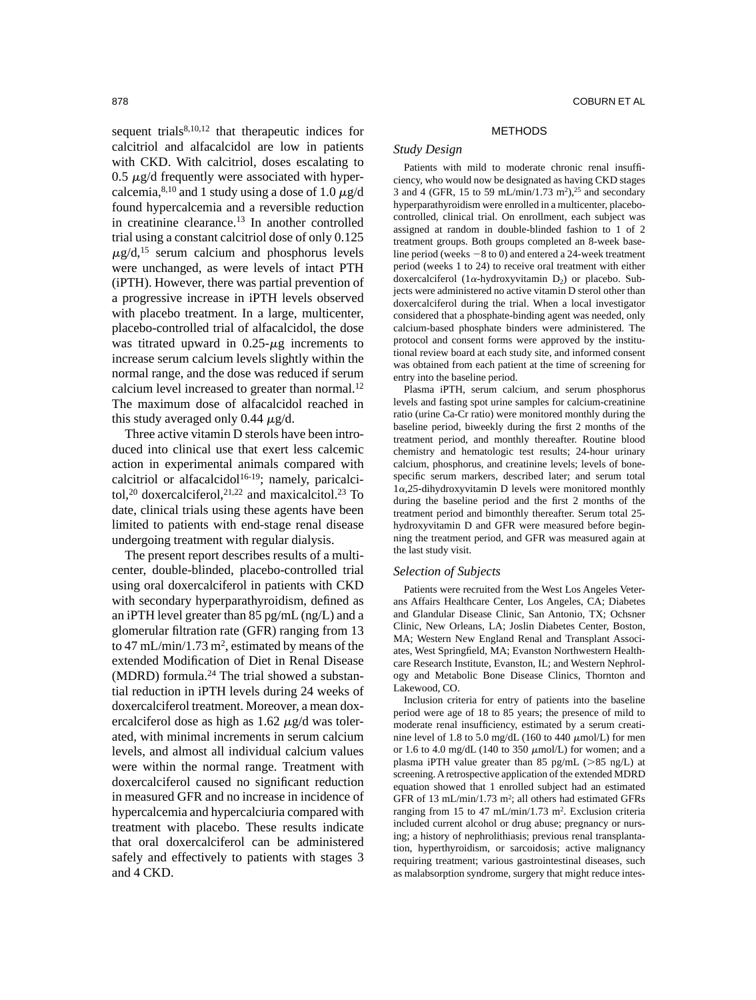sequent trials $8,10,12$  that therapeutic indices for calcitriol and alfacalcidol are low in patients with CKD. With calcitriol, doses escalating to  $0.5 \mu$ g/d frequently were associated with hypercalcemia,<sup>8,10</sup> and 1 study using a dose of 1.0  $\mu$ g/d found hypercalcemia and a reversible reduction in creatinine clearance.13 In another controlled trial using a constant calcitriol dose of only 0.125  $\mu$ g/d,<sup>15</sup> serum calcium and phosphorus levels were unchanged, as were levels of intact PTH (iPTH). However, there was partial prevention of a progressive increase in iPTH levels observed with placebo treatment. In a large, multicenter, placebo-controlled trial of alfacalcidol, the dose was titrated upward in  $0.25 - \mu$ g increments to increase serum calcium levels slightly within the normal range, and the dose was reduced if serum calcium level increased to greater than normal.<sup>12</sup> The maximum dose of alfacalcidol reached in this study averaged only 0.44  $\mu$ g/d.

Three active vitamin D sterols have been introduced into clinical use that exert less calcemic action in experimental animals compared with calcitriol or alfacalcidol $16-19$ ; namely, paricalcitol,<sup>20</sup> doxercalciferol,<sup>21,22</sup> and maxicalcitol.<sup>23</sup> To date, clinical trials using these agents have been limited to patients with end-stage renal disease undergoing treatment with regular dialysis.

The present report describes results of a multicenter, double-blinded, placebo-controlled trial using oral doxercalciferol in patients with CKD with secondary hyperparathyroidism, defined as an iPTH level greater than 85 pg/mL (ng/L) and a glomerular filtration rate (GFR) ranging from 13 to 47 mL/min/1.73 m<sup>2</sup>, estimated by means of the extended Modification of Diet in Renal Disease (MDRD) formula.24 The trial showed a substantial reduction in iPTH levels during 24 weeks of doxercalciferol treatment. Moreover, a mean doxercalciferol dose as high as  $1.62 \mu g/d$  was tolerated, with minimal increments in serum calcium levels, and almost all individual calcium values were within the normal range. Treatment with doxercalciferol caused no significant reduction in measured GFR and no increase in incidence of hypercalcemia and hypercalciuria compared with treatment with placebo. These results indicate that oral doxercalciferol can be administered safely and effectively to patients with stages 3 and 4 CKD.

#### METHODS

# *Study Design*

Patients with mild to moderate chronic renal insufficiency, who would now be designated as having CKD stages 3 and 4 (GFR, 15 to 59 mL/min/1.73 m<sup>2</sup>),<sup>25</sup> and secondary hyperparathyroidism were enrolled in a multicenter, placebocontrolled, clinical trial. On enrollment, each subject was assigned at random in double-blinded fashion to 1 of 2 treatment groups. Both groups completed an 8-week baseline period (weeks  $-8$  to 0) and entered a 24-week treatment period (weeks 1 to 24) to receive oral treatment with either doxercalciferol ( $1\alpha$ -hydroxyvitamin  $D_2$ ) or placebo. Subjects were administered no active vitamin D sterol other than doxercalciferol during the trial. When a local investigator considered that a phosphate-binding agent was needed, only calcium-based phosphate binders were administered. The protocol and consent forms were approved by the institutional review board at each study site, and informed consent was obtained from each patient at the time of screening for entry into the baseline period.

Plasma iPTH, serum calcium, and serum phosphorus levels and fasting spot urine samples for calcium-creatinine ratio (urine Ca-Cr ratio) were monitored monthly during the baseline period, biweekly during the first 2 months of the treatment period, and monthly thereafter. Routine blood chemistry and hematologic test results; 24-hour urinary calcium, phosphorus, and creatinine levels; levels of bonespecific serum markers, described later; and serum total  $1\alpha$ , 25-dihydroxyvitamin D levels were monitored monthly during the baseline period and the first 2 months of the treatment period and bimonthly thereafter. Serum total 25 hydroxyvitamin D and GFR were measured before beginning the treatment period, and GFR was measured again at the last study visit.

#### *Selection of Subjects*

Patients were recruited from the West Los Angeles Veterans Affairs Healthcare Center, Los Angeles, CA; Diabetes and Glandular Disease Clinic, San Antonio, TX; Ochsner Clinic, New Orleans, LA; Joslin Diabetes Center, Boston, MA; Western New England Renal and Transplant Associates, West Springfield, MA; Evanston Northwestern Healthcare Research Institute, Evanston, IL; and Western Nephrology and Metabolic Bone Disease Clinics, Thornton and Lakewood, CO.

Inclusion criteria for entry of patients into the baseline period were age of 18 to 85 years; the presence of mild to moderate renal insufficiency, estimated by a serum creatinine level of 1.8 to 5.0 mg/dL (160 to 440  $\mu$ mol/L) for men or 1.6 to 4.0 mg/dL (140 to 350  $\mu$ mol/L) for women; and a plasma iPTH value greater than 85 pg/mL  $(>\,85 \, \text{ng/L})$  at screening. A retrospective application of the extended MDRD equation showed that 1 enrolled subject had an estimated GFR of 13 mL/min/1.73 m<sup>2</sup>; all others had estimated GFRs ranging from 15 to 47 mL/min/1.73 m2. Exclusion criteria included current alcohol or drug abuse; pregnancy or nursing; a history of nephrolithiasis; previous renal transplantation, hyperthyroidism, or sarcoidosis; active malignancy requiring treatment; various gastrointestinal diseases, such as malabsorption syndrome, surgery that might reduce intes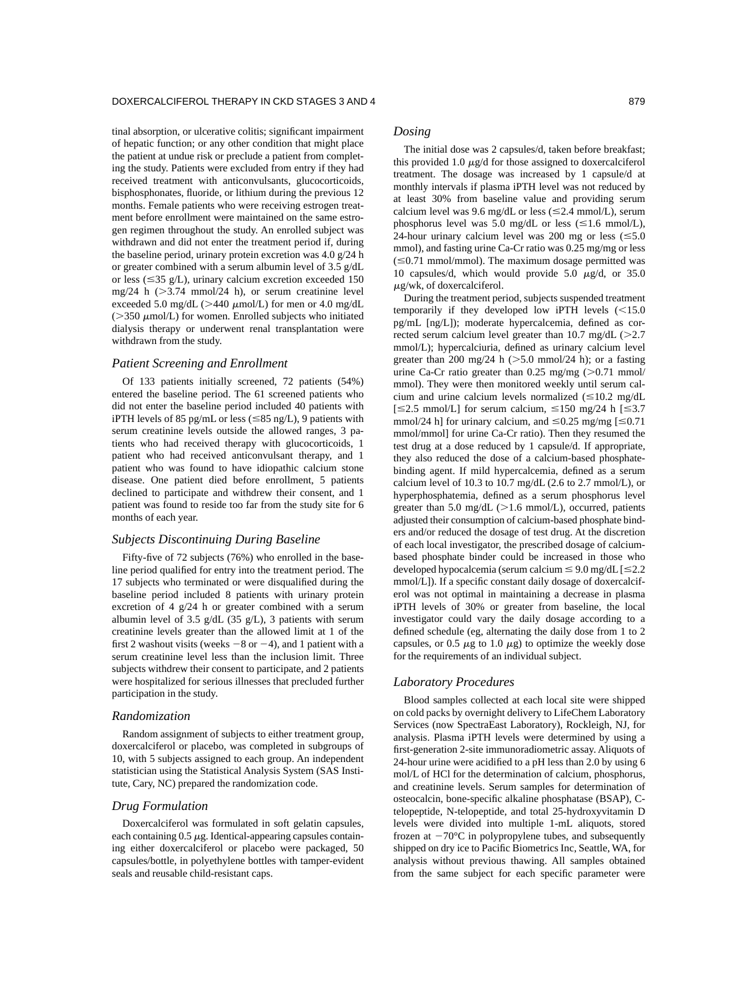tinal absorption, or ulcerative colitis; significant impairment of hepatic function; or any other condition that might place the patient at undue risk or preclude a patient from completing the study. Patients were excluded from entry if they had received treatment with anticonvulsants, glucocorticoids, bisphosphonates, fluoride, or lithium during the previous 12 months. Female patients who were receiving estrogen treatment before enrollment were maintained on the same estrogen regimen throughout the study. An enrolled subject was withdrawn and did not enter the treatment period if, during the baseline period, urinary protein excretion was 4.0 g/24 h or greater combined with a serum albumin level of 3.5 g/dL or less ( $\leq$ 35 g/L), urinary calcium excretion exceeded 150  $mg/24$  h ( $>3.74$  mmol/24 h), or serum creatinine level exceeded 5.0 mg/dL ( $>440 \mu$ mol/L) for men or 4.0 mg/dL  $($  > 350  $\mu$ mol/L) for women. Enrolled subjects who initiated dialysis therapy or underwent renal transplantation were withdrawn from the study.

#### *Patient Screening and Enrollment*

Of 133 patients initially screened, 72 patients (54%) entered the baseline period. The 61 screened patients who did not enter the baseline period included 40 patients with iPTH levels of 85 pg/mL or less ( $\leq$ 85 ng/L), 9 patients with serum creatinine levels outside the allowed ranges, 3 patients who had received therapy with glucocorticoids, 1 patient who had received anticonvulsant therapy, and 1 patient who was found to have idiopathic calcium stone disease. One patient died before enrollment, 5 patients declined to participate and withdrew their consent, and 1 patient was found to reside too far from the study site for 6 months of each year.

# *Subjects Discontinuing During Baseline*

Fifty-five of 72 subjects (76%) who enrolled in the baseline period qualified for entry into the treatment period. The 17 subjects who terminated or were disqualified during the baseline period included 8 patients with urinary protein excretion of 4 g/24 h or greater combined with a serum albumin level of 3.5 g/dL (35 g/L), 3 patients with serum creatinine levels greater than the allowed limit at 1 of the first 2 washout visits (weeks  $-8$  or  $-4$ ), and 1 patient with a serum creatinine level less than the inclusion limit. Three subjects withdrew their consent to participate, and 2 patients were hospitalized for serious illnesses that precluded further participation in the study.

#### *Randomization*

Random assignment of subjects to either treatment group, doxercalciferol or placebo, was completed in subgroups of 10, with 5 subjects assigned to each group. An independent statistician using the Statistical Analysis System (SAS Institute, Cary, NC) prepared the randomization code.

# *Drug Formulation*

Doxercalciferol was formulated in soft gelatin capsules, each containing  $0.5 \mu$ g. Identical-appearing capsules containing either doxercalciferol or placebo were packaged, 50 capsules/bottle, in polyethylene bottles with tamper-evident seals and reusable child-resistant caps.

### *Dosing*

The initial dose was 2 capsules/d, taken before breakfast; this provided 1.0  $\mu$ g/d for those assigned to doxercalciferol treatment. The dosage was increased by 1 capsule/d at monthly intervals if plasma iPTH level was not reduced by at least 30% from baseline value and providing serum calcium level was 9.6 mg/dL or less ( $\leq$ 2.4 mmol/L), serum phosphorus level was 5.0 mg/dL or less ( $\leq$ 1.6 mmol/L), 24-hour urinary calcium level was 200 mg or less  $(\leq 5.0)$ mmol), and fasting urine Ca-Cr ratio was 0.25 mg/mg or less  $(\leq 0.71$  mmol/mmol). The maximum dosage permitted was 10 capsules/d, which would provide 5.0  $\mu$ g/d, or 35.0  $\mu$ g/wk, of doxercalciferol.

During the treatment period, subjects suspended treatment temporarily if they developed low iPTH levels  $(<15.0$ pg/mL [ng/L]); moderate hypercalcemia, defined as corrected serum calcium level greater than  $10.7 \text{ mg/dL}$  ( $>2.7$ mmol/L); hypercalciuria, defined as urinary calcium level greater than 200 mg/24 h  $($ >5.0 mmol/24 h); or a fasting urine Ca-Cr ratio greater than  $0.25$  mg/mg ( $>0.71$  mmol/ mmol). They were then monitored weekly until serum calcium and urine calcium levels normalized  $(\leq 10.2 \text{ mg/dL})$  $[\leq 2.5 \text{ mmol/L}]$  for serum calcium,  $\leq 150 \text{ mg}/24$  h  $[\leq 3.7 \text{ mmol/L}]$ mmol/24 h] for urinary calcium, and  $\leq 0.25$  mg/mg [ $\leq 0.71$ ] mmol/mmol] for urine Ca-Cr ratio). Then they resumed the test drug at a dose reduced by 1 capsule/d. If appropriate, they also reduced the dose of a calcium-based phosphatebinding agent. If mild hypercalcemia, defined as a serum calcium level of 10.3 to 10.7 mg/dL (2.6 to 2.7 mmol/L), or hyperphosphatemia, defined as a serum phosphorus level greater than 5.0 mg/dL  $(>1.6 \text{ mmol/L})$ , occurred, patients adjusted their consumption of calcium-based phosphate binders and/or reduced the dosage of test drug. At the discretion of each local investigator, the prescribed dosage of calciumbased phosphate binder could be increased in those who developed hypocalcemia (serum calcium  $\leq 9.0$  mg/dL  $\leq 2.2$ ) mmol/L]). If a specific constant daily dosage of doxercalciferol was not optimal in maintaining a decrease in plasma iPTH levels of 30% or greater from baseline, the local investigator could vary the daily dosage according to a defined schedule (eg, alternating the daily dose from 1 to 2 capsules, or 0.5  $\mu$ g to 1.0  $\mu$ g) to optimize the weekly dose for the requirements of an individual subject.

#### *Laboratory Procedures*

Blood samples collected at each local site were shipped on cold packs by overnight delivery to LifeChem Laboratory Services (now SpectraEast Laboratory), Rockleigh, NJ, for analysis. Plasma iPTH levels were determined by using a first-generation 2-site immunoradiometric assay. Aliquots of 24-hour urine were acidified to a pH less than 2.0 by using 6 mol/L of HCl for the determination of calcium, phosphorus, and creatinine levels. Serum samples for determination of osteocalcin, bone-specific alkaline phosphatase (BSAP), Ctelopeptide, N-telopeptide, and total 25-hydroxyvitamin D levels were divided into multiple 1-mL aliquots, stored frozen at  $-70^{\circ}$ C in polypropylene tubes, and subsequently shipped on dry ice to Pacific Biometrics Inc, Seattle, WA, for analysis without previous thawing. All samples obtained from the same subject for each specific parameter were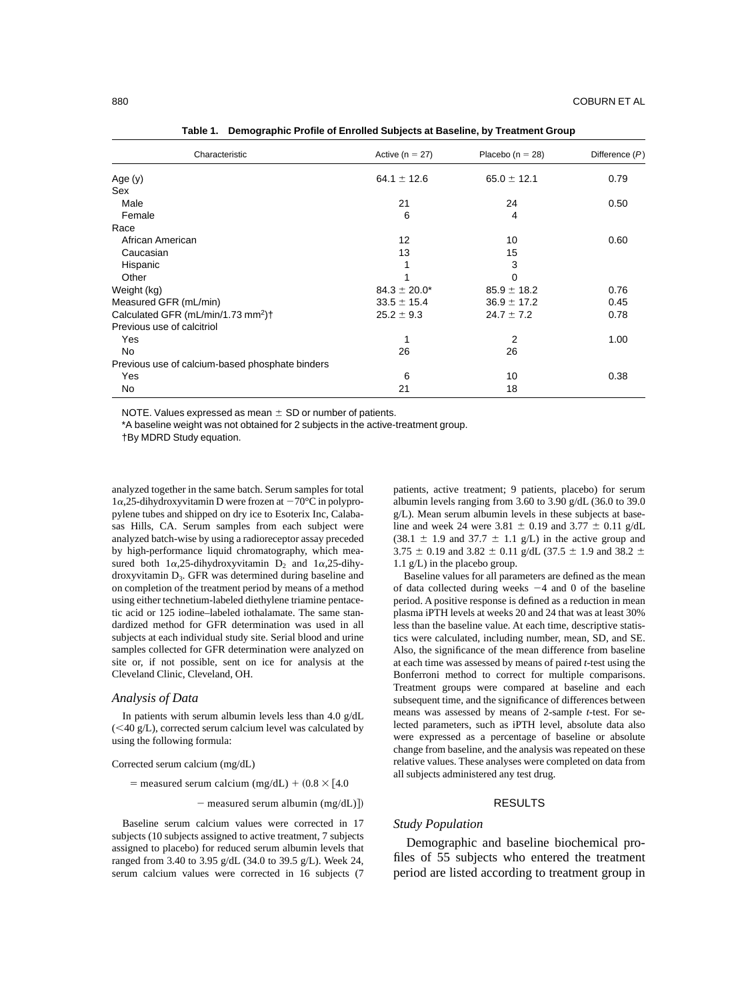| Characteristic                                             | Active ( $n = 27$ ) | Placebo ( $n = 28$ ) | Difference $(P)$ |
|------------------------------------------------------------|---------------------|----------------------|------------------|
| Age (y)                                                    | 64.1 $\pm$ 12.6     | $65.0 \pm 12.1$      | 0.79             |
| Sex                                                        |                     |                      |                  |
| Male                                                       | 21                  | 24                   | 0.50             |
| Female                                                     | 6                   | 4                    |                  |
| Race                                                       |                     |                      |                  |
| African American                                           | 12                  | 10                   | 0.60             |
| Caucasian                                                  | 13                  | 15                   |                  |
| Hispanic                                                   |                     | 3                    |                  |
| Other                                                      |                     | 0                    |                  |
| Weight (kg)                                                | $84.3 \pm 20.0^*$   | $85.9 \pm 18.2$      | 0.76             |
| Measured GFR (mL/min)                                      | $33.5 \pm 15.4$     | $36.9 \pm 17.2$      | 0.45             |
| Calculated GFR (mL/min/1.73 mm <sup>2</sup> ) <sup>+</sup> | $25.2 \pm 9.3$      | $24.7 \pm 7.2$       | 0.78             |
| Previous use of calcitriol                                 |                     |                      |                  |
| Yes                                                        | 1                   | 2                    | 1.00             |
| <b>No</b>                                                  | 26                  | 26                   |                  |
| Previous use of calcium-based phosphate binders            |                     |                      |                  |
| Yes                                                        | 6                   | 10                   | 0.38             |
| No                                                         | 21                  | 18                   |                  |

**Table 1. Demographic Profile of Enrolled Subjects at Baseline, by Treatment Group**

NOTE. Values expressed as mean  $\pm$  SD or number of patients.

\*A baseline weight was not obtained for 2 subjects in the active-treatment group.

†By MDRD Study equation.

analyzed together in the same batch. Serum samples for total  $1\alpha$ , 25-dihydroxyvitamin D were frozen at  $-70^{\circ}$ C in polypropylene tubes and shipped on dry ice to Esoterix Inc, Calabasas Hills, CA. Serum samples from each subject were analyzed batch-wise by using a radioreceptor assay preceded by high-performance liquid chromatography, which measured both  $1\alpha, 25$ -dihydroxyvitamin  $D_2$  and  $1\alpha, 25$ -dihydroxyvitamin D<sub>3</sub>. GFR was determined during baseline and on completion of the treatment period by means of a method using either technetium-labeled diethylene triamine pentacetic acid or 125 iodine–labeled iothalamate. The same standardized method for GFR determination was used in all subjects at each individual study site. Serial blood and urine samples collected for GFR determination were analyzed on site or, if not possible, sent on ice for analysis at the Cleveland Clinic, Cleveland, OH.

### *Analysis of Data*

In patients with serum albumin levels less than 4.0 g/dL  $(<$ 40 g/L), corrected serum calcium level was calculated by using the following formula:

#### Corrected serum calcium (mg/dL)

= measured serum calcium (mg/dL) +  $(0.8 \times 14.0$ 

 $-$  measured serum albumin (mg/dL)])

Baseline serum calcium values were corrected in 17 subjects (10 subjects assigned to active treatment, 7 subjects assigned to placebo) for reduced serum albumin levels that ranged from 3.40 to 3.95 g/dL (34.0 to 39.5 g/L). Week 24, serum calcium values were corrected in 16 subjects (7

patients, active treatment; 9 patients, placebo) for serum albumin levels ranging from 3.60 to 3.90 g/dL (36.0 to 39.0 g/L). Mean serum albumin levels in these subjects at baseline and week 24 were 3.81  $\pm$  0.19 and 3.77  $\pm$  0.11 g/dL  $(38.1 \pm 1.9 \text{ and } 37.7 \pm 1.1 \text{ g/L})$  in the active group and 3.75  $\pm$  0.19 and 3.82  $\pm$  0.11 g/dL (37.5  $\pm$  1.9 and 38.2  $\pm$ 1.1 g/L) in the placebo group.

Baseline values for all parameters are defined as the mean of data collected during weeks  $-4$  and 0 of the baseline period. A positive response is defined as a reduction in mean plasma iPTH levels at weeks 20 and 24 that was at least 30% less than the baseline value. At each time, descriptive statistics were calculated, including number, mean, SD, and SE. Also, the significance of the mean difference from baseline at each time was assessed by means of paired *t*-test using the Bonferroni method to correct for multiple comparisons. Treatment groups were compared at baseline and each subsequent time, and the significance of differences between means was assessed by means of 2-sample *t*-test. For selected parameters, such as iPTH level, absolute data also were expressed as a percentage of baseline or absolute change from baseline, and the analysis was repeated on these relative values. These analyses were completed on data from all subjects administered any test drug.

#### RESULTS

### *Study Population*

Demographic and baseline biochemical profiles of 55 subjects who entered the treatment period are listed according to treatment group in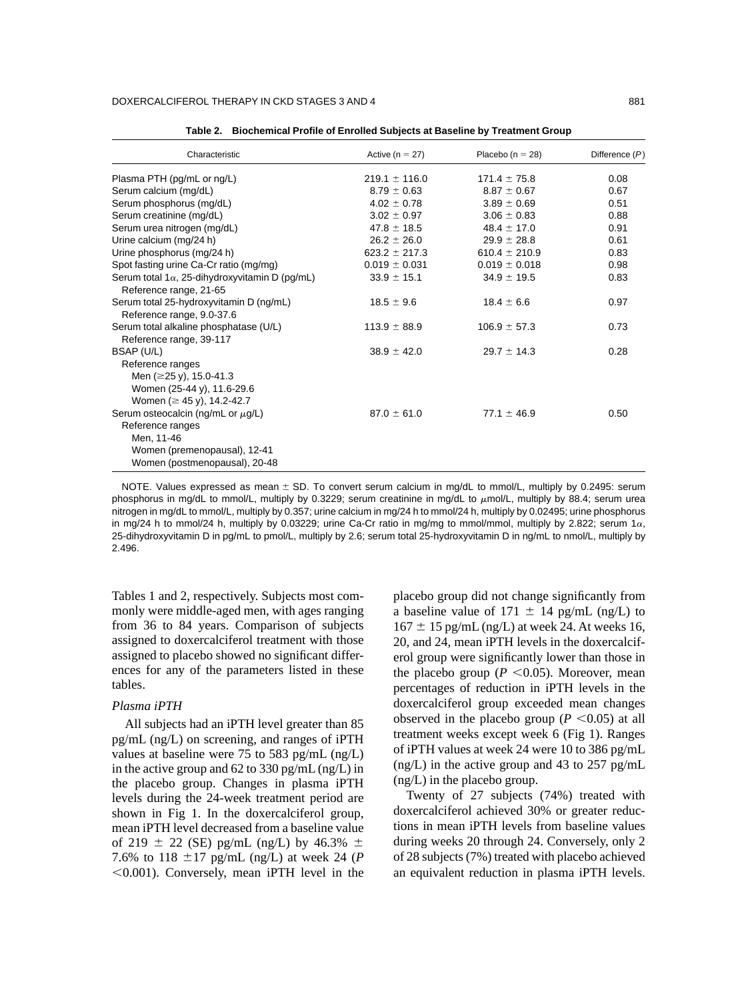| Active ( $n = 27$ ) | Placebo ( $n = 28$ ) | Difference $(P)$ |
|---------------------|----------------------|------------------|
| $219.1 \pm 116.0$   | $171.4 \pm 75.8$     | 0.08             |
| $8.79 \pm 0.63$     | $8.87 \pm 0.67$      | 0.67             |
| $4.02 \pm 0.78$     | $3.89 \pm 0.69$      | 0.51             |
| $3.02 \pm 0.97$     | $3.06 \pm 0.83$      | 0.88             |
| $47.8 \pm 18.5$     | $48.4 \pm 17.0$      | 0.91             |
| $26.2 \pm 26.0$     | $29.9 \pm 28.8$      | 0.61             |
| $623.2 \pm 217.3$   | 610.4 $\pm$ 210.9    | 0.83             |
| $0.019 \pm 0.031$   | $0.019 \pm 0.018$    | 0.98             |
| $33.9 \pm 15.1$     | $34.9 \pm 19.5$      | 0.83             |
| $18.5 \pm 9.6$      | $18.4 \pm 6.6$       | 0.97             |
| $113.9 \pm 88.9$    | $106.9 \pm 57.3$     | 0.73             |
| $38.9 \pm 42.0$     | $29.7 \pm 14.3$      | 0.28             |
|                     |                      |                  |
| $87.0 \pm 61.0$     | $77.1 \pm 46.9$      | 0.50             |
|                     |                      |                  |

**Table 2. Biochemical Profile of Enrolled Subjects at Baseline by Treatment Group**

NOTE. Values expressed as mean  $\pm$  SD. To convert serum calcium in mg/dL to mmol/L, multiply by 0.2495: serum phosphorus in mg/dL to mmol/L, multiply by 0.3229; serum creatinine in mg/dL to  $\mu$ mol/L, multiply by 88.4; serum urea nitrogen in mg/dL to mmol/L, multiply by 0.357; urine calcium in mg/24 h to mmol/24 h, multiply by 0.02495; urine phosphorus in mg/24 h to mmol/24 h, multiply by 0.03229; urine Ca-Cr ratio in mg/mg to mmol/mmol, multiply by 2.822; serum 1 $\alpha$ , 25-dihydroxyvitamin D in pg/mL to pmol/L, multiply by 2.6; serum total 25-hydroxyvitamin D in ng/mL to nmol/L, multiply by 2.496.

Tables 1 and 2, respectively. Subjects most commonly were middle-aged men, with ages ranging from 36 to 84 years. Comparison of subjects assigned to doxercalciferol treatment with those assigned to placebo showed no significant differences for any of the parameters listed in these tables.

# *Plasma iPTH*

All subjects had an iPTH level greater than 85 pg/mL (ng/L) on screening, and ranges of iPTH values at baseline were 75 to 583 pg/mL (ng/L) in the active group and 62 to 330 pg/mL (ng/L) in the placebo group. Changes in plasma iPTH levels during the 24-week treatment period are shown in Fig 1. In the doxercalciferol group, mean iPTH level decreased from a baseline value of 219  $\pm$  22 (SE) pg/mL (ng/L) by 46.3%  $\pm$ 7.6% to 118  $\pm$ 17 pg/mL (ng/L) at week 24 (*P*)  $0.001$ ). Conversely, mean iPTH level in the placebo group did not change significantly from a baseline value of 171  $\pm$  14 pg/mL (ng/L) to  $167 \pm 15$  pg/mL (ng/L) at week 24. At weeks 16, 20, and 24, mean iPTH levels in the doxercalciferol group were significantly lower than those in the placebo group ( $P \le 0.05$ ). Moreover, mean percentages of reduction in iPTH levels in the doxercalciferol group exceeded mean changes observed in the placebo group ( $P \le 0.05$ ) at all treatment weeks except week 6 (Fig 1). Ranges of iPTH values at week 24 were 10 to 386 pg/mL (ng/L) in the active group and 43 to 257 pg/mL (ng/L) in the placebo group.

Twenty of 27 subjects (74%) treated with doxercalciferol achieved 30% or greater reductions in mean iPTH levels from baseline values during weeks 20 through 24. Conversely, only 2 of 28 subjects (7%) treated with placebo achieved an equivalent reduction in plasma iPTH levels.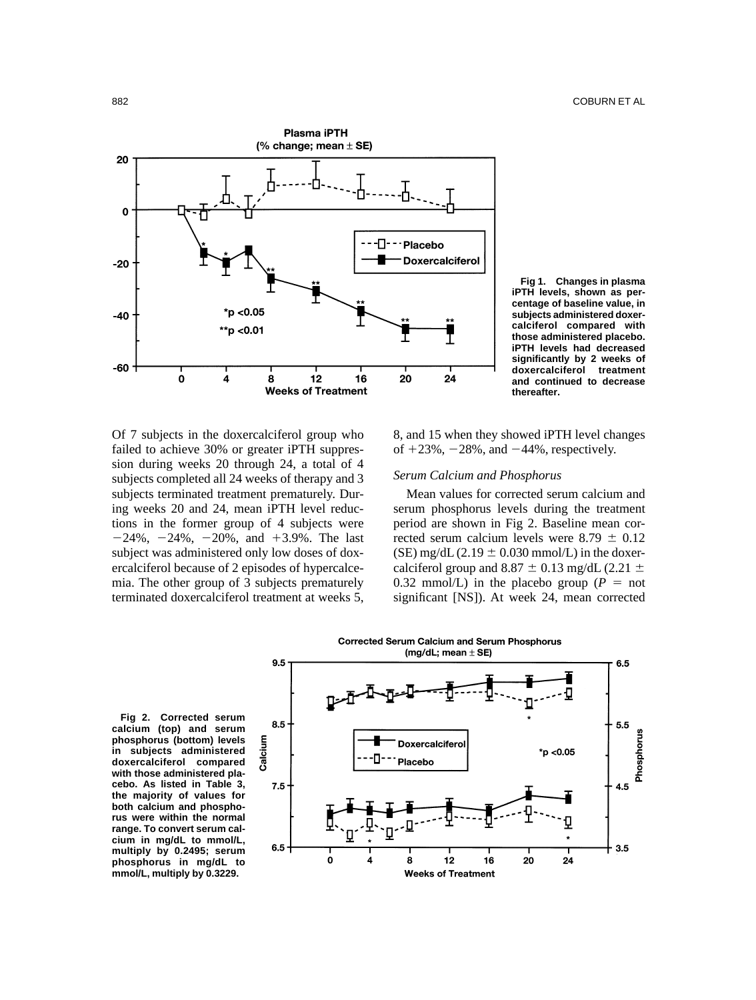

**Fig 1. Changes in plasma iPTH levels, shown as percentage of baseline value, in subjects administered doxercalciferol compared with those administered placebo. iPTH levels had decreased significantly by 2 weeks of doxercalciferol treatment and continued to decrease thereafter.**

Of 7 subjects in the doxercalciferol group who failed to achieve 30% or greater iPTH suppression during weeks 20 through 24, a total of 4 subjects completed all 24 weeks of therapy and 3 subjects terminated treatment prematurely. During weeks 20 and 24, mean iPTH level reductions in the former group of 4 subjects were  $-24\%, -24\%, -20\%, \text{ and } +3.9\%$ . The last subject was administered only low doses of doxercalciferol because of 2 episodes of hypercalcemia. The other group of 3 subjects prematurely terminated doxercalciferol treatment at weeks 5, 8, and 15 when they showed iPTH level changes of  $+23\%$ ,  $-28\%$ , and  $-44\%$ , respectively.

# *Serum Calcium and Phosphorus*

Mean values for corrected serum calcium and serum phosphorus levels during the treatment period are shown in Fig 2. Baseline mean corrected serum calcium levels were  $8.79 \pm 0.12$ (SE) mg/dL (2.19  $\pm$  0.030 mmol/L) in the doxercalciferol group and 8.87  $\pm$  0.13 mg/dL (2.21  $\pm$ 0.32 mmol/L) in the placebo group ( $P = \text{not}$ significant [NS]). At week 24, mean corrected

**Fig 2. Corrected serum calcium (top) and serum phosphorus (bottom) levels in subjects administered doxercalciferol compared with those administered placebo. As listed in Table 3, the majority of values for both calcium and phosphorus were within the normal range. To convert serum calcium in mg/dL to mmol/L, multiply by 0.2495; serum phosphorus in mg/dL to mmol/L, multiply by 0.3229.**



**Corrected Serum Calcium and Serum Phosphorus**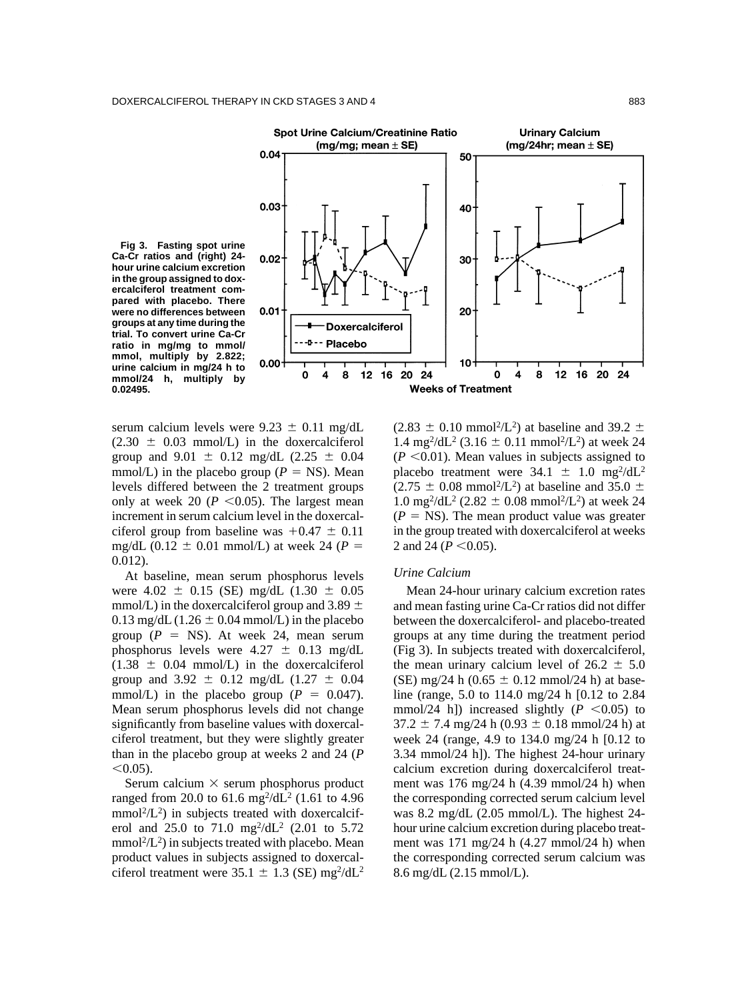



serum calcium levels were  $9.23 \pm 0.11$  mg/dL  $(2.30 \pm 0.03 \text{ mmol/L})$  in the doxercalciferol group and  $9.01 \pm 0.12$  mg/dL (2.25  $\pm$  0.04 mmol/L) in the placebo group ( $P = NS$ ). Mean levels differed between the 2 treatment groups only at week 20 ( $P \le 0.05$ ). The largest mean increment in serum calcium level in the doxercalciferol group from baseline was  $+0.47 \pm 0.11$ mg/dL (0.12  $\pm$  0.01 mmol/L) at week 24 (*P* = 0.012).

At baseline, mean serum phosphorus levels were  $4.02 \pm 0.15$  (SE) mg/dL (1.30  $\pm$  0.05 mmol/L) in the doxercalciferol group and 3.89  $\pm$ 0.13 mg/dL (1.26  $\pm$  0.04 mmol/L) in the placebo group ( $P = NS$ ). At week 24, mean serum phosphorus levels were  $4.27 \pm 0.13$  mg/dL  $(1.38 \pm 0.04 \text{ mmol/L})$  in the doxercalciferol group and 3.92  $\pm$  0.12 mg/dL (1.27  $\pm$  0.04 mmol/L) in the placebo group ( $P = 0.047$ ). Mean serum phosphorus levels did not change significantly from baseline values with doxercalciferol treatment, but they were slightly greater than in the placebo group at weeks 2 and 24 (*P*  $< 0.05$ ).

Serum calcium  $\times$  serum phosphorus product ranged from 20.0 to 61.6 mg<sup>2</sup>/dL<sup>2</sup> (1.61 to 4.96  $mmol<sup>2</sup>/L<sup>2</sup>$ ) in subjects treated with doxercalciferol and 25.0 to 71.0  $mg^2/dL^2$  (2.01 to 5.72  $mmol<sup>2</sup>/L<sup>2</sup>$ ) in subjects treated with placebo. Mean product values in subjects assigned to doxercalciferol treatment were  $35.1 \pm 1.3$  (SE) mg<sup>2</sup>/dL<sup>2</sup>  $(2.83 \pm 0.10 \text{ mmol}^2/\text{L}^2)$  at baseline and 39.2  $\pm$ 1.4 mg<sup>2</sup>/dL<sup>2</sup> (3.16  $\pm$  0.11 mmol<sup>2</sup>/L<sup>2</sup>) at week 24  $(P \leq 0.01)$ . Mean values in subjects assigned to placebo treatment were  $34.1 \pm 1.0$  mg<sup>2</sup>/dL<sup>2</sup>  $(2.75 \pm 0.08 \text{ mmol}^2/\text{L}^2)$  at baseline and 35.0  $\pm$  $1.0 \text{ mg}^2/\text{d}L^2$  (2.82  $\pm$  0.08 mmol<sup>2</sup>/L<sup>2</sup>) at week 24  $(P = NS)$ . The mean product value was greater in the group treated with doxercalciferol at weeks 2 and 24 ( $P \le 0.05$ ).

### *Urine Calcium*

Mean 24-hour urinary calcium excretion rates and mean fasting urine Ca-Cr ratios did not differ between the doxercalciferol- and placebo-treated groups at any time during the treatment period (Fig 3). In subjects treated with doxercalciferol, the mean urinary calcium level of  $26.2 \pm 5.0$ (SE) mg/24 h (0.65  $\pm$  0.12 mmol/24 h) at baseline (range, 5.0 to 114.0 mg/24 h [0.12 to 2.84 mmol/24 h]) increased slightly  $(P \le 0.05)$  to  $37.2 \pm 7.4$  mg/24 h (0.93  $\pm$  0.18 mmol/24 h) at week 24 (range, 4.9 to 134.0 mg/24 h [0.12 to 3.34 mmol/24 h]). The highest 24-hour urinary calcium excretion during doxercalciferol treatment was 176 mg/24 h (4.39 mmol/24 h) when the corresponding corrected serum calcium level was 8.2 mg/dL (2.05 mmol/L). The highest 24 hour urine calcium excretion during placebo treatment was 171 mg/24 h (4.27 mmol/24 h) when the corresponding corrected serum calcium was 8.6 mg/dL (2.15 mmol/L).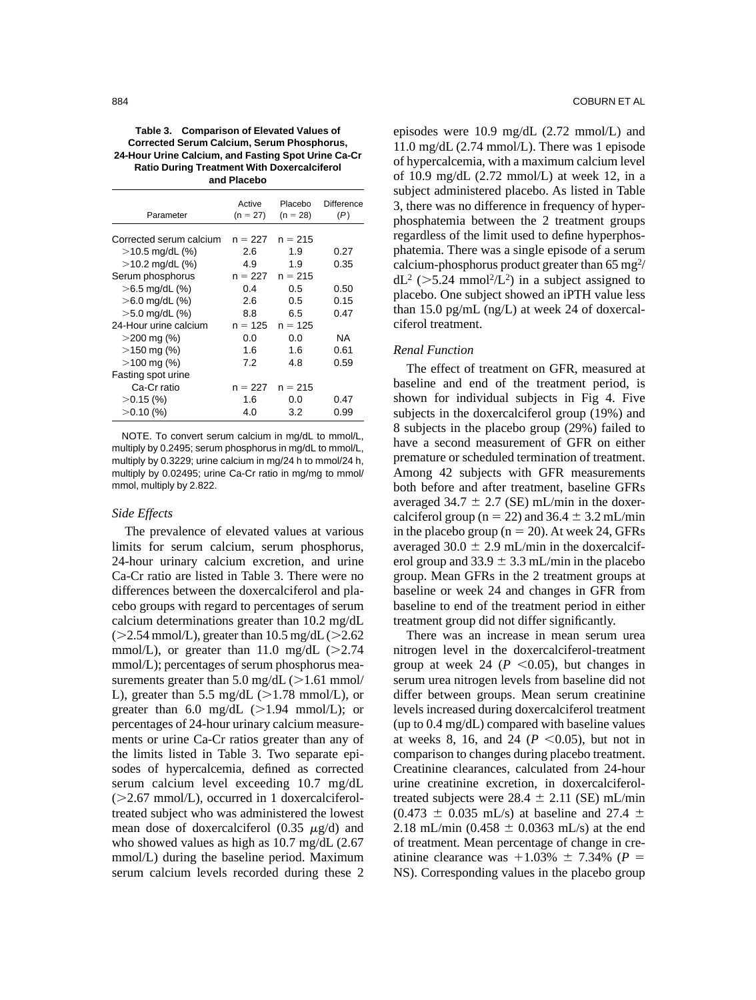**Table 3. Comparison of Elevated Values of Corrected Serum Calcium, Serum Phosphorus, 24-Hour Urine Calcium, and Fasting Spot Urine Ca-Cr Ratio During Treatment With Doxercalciferol and Placebo**

| Parameter               | Active<br>$(n = 27)$ | Placebo<br>$(n = 28)$ | Difference<br>(P) |
|-------------------------|----------------------|-----------------------|-------------------|
| Corrected serum calcium | $n = 227$            | $n = 215$             |                   |
| $>$ 10.5 mg/dL (%)      | 2.6                  | 1.9                   | 0.27              |
| $>$ 10.2 mg/dL $(%)$    | 4.9                  | 1.9                   | 0.35              |
| Serum phosphorus        | $n = 227$            | $n = 215$             |                   |
| $>6.5$ mg/dL $(\%)$     | 0.4                  | 0.5                   | 0.50              |
| $>6.0$ mg/dL (%)        | 2.6                  | 0.5                   | 0.15              |
| $>5.0$ mg/dL (%)        | 8.8                  | 6.5                   | 0.47              |
| 24-Hour urine calcium   | $n = 125$            | $n = 125$             |                   |
| $>$ 200 mg (%)          | 0.0                  | 0.0                   | NA                |
| $>$ 150 mg (%)          | 1.6                  | 1.6                   | 0.61              |
| $>100$ mg (%)           | 7.2                  | 4.8                   | 0.59              |
| Fasting spot urine      |                      |                       |                   |
| Ca-Cr ratio             | $n = 227$            | $n = 215$             |                   |
| $>0.15$ (%)             | 1.6                  | 0.0                   | 0.47              |
| >0.10(%)                | 4.0                  | 3.2                   | 0.99              |

NOTE. To convert serum calcium in mg/dL to mmol/L, multiply by 0.2495; serum phosphorus in mg/dL to mmol/L, multiply by 0.3229; urine calcium in mg/24 h to mmol/24 h, multiply by 0.02495; urine Ca-Cr ratio in mg/mg to mmol/ mmol, multiply by 2.822.

### *Side Effects*

The prevalence of elevated values at various limits for serum calcium, serum phosphorus, 24-hour urinary calcium excretion, and urine Ca-Cr ratio are listed in Table 3. There were no differences between the doxercalciferol and placebo groups with regard to percentages of serum calcium determinations greater than 10.2 mg/dL  $($ >2.54 mmol/L), greater than 10.5 mg/dL $($ >2.62 mmol/L), or greater than 11.0 mg/dL  $(>2.74)$ mmol/L); percentages of serum phosphorus measurements greater than  $5.0 \text{ mg/dL}$  ( $>1.61 \text{ mmol}$ / L), greater than 5.5 mg/dL  $(>1.78 \text{ mmol/L})$ , or greater than  $6.0 \text{ mg/dL}$  ( $>1.94 \text{ mmol/L}$ ); or percentages of 24-hour urinary calcium measurements or urine Ca-Cr ratios greater than any of the limits listed in Table 3. Two separate episodes of hypercalcemia, defined as corrected serum calcium level exceeding 10.7 mg/dL  $($  > 2.67 mmol/L), occurred in 1 doxercalciferoltreated subject who was administered the lowest mean dose of doxercalciferol (0.35  $\mu$ g/d) and who showed values as high as 10.7 mg/dL (2.67 mmol/L) during the baseline period. Maximum serum calcium levels recorded during these 2 episodes were 10.9 mg/dL (2.72 mmol/L) and 11.0 mg/dL (2.74 mmol/L). There was 1 episode of hypercalcemia, with a maximum calcium level of 10.9 mg/dL  $(2.72 \text{ mmol/L})$  at week 12, in a subject administered placebo. As listed in Table 3, there was no difference in frequency of hyperphosphatemia between the 2 treatment groups regardless of the limit used to define hyperphosphatemia. There was a single episode of a serum calcium-phosphorus product greater than  $65 \text{ m} \text{g}^2$ /  $dL^2$  (>5.24 mmol<sup>2</sup>/L<sup>2</sup>) in a subject assigned to placebo. One subject showed an iPTH value less than 15.0 pg/mL (ng/L) at week 24 of doxercalciferol treatment.

# *Renal Function*

The effect of treatment on GFR, measured at baseline and end of the treatment period, is shown for individual subjects in Fig 4. Five subjects in the doxercalciferol group (19%) and 8 subjects in the placebo group (29%) failed to have a second measurement of GFR on either premature or scheduled termination of treatment. Among 42 subjects with GFR measurements both before and after treatment, baseline GFRs averaged 34.7  $\pm$  2.7 (SE) mL/min in the doxercalciferol group ( $n = 22$ ) and 36.4  $\pm$  3.2 mL/min in the placebo group ( $n = 20$ ). At week 24, GFRs averaged 30.0  $\pm$  2.9 mL/min in the doxercalciferol group and  $33.9 \pm 3.3$  mL/min in the placebo group. Mean GFRs in the 2 treatment groups at baseline or week 24 and changes in GFR from baseline to end of the treatment period in either treatment group did not differ significantly.

There was an increase in mean serum urea nitrogen level in the doxercalciferol-treatment group at week 24 ( $P \leq 0.05$ ), but changes in serum urea nitrogen levels from baseline did not differ between groups. Mean serum creatinine levels increased during doxercalciferol treatment (up to 0.4 mg/dL) compared with baseline values at weeks 8, 16, and 24 ( $P \le 0.05$ ), but not in comparison to changes during placebo treatment. Creatinine clearances, calculated from 24-hour urine creatinine excretion, in doxercalciferoltreated subjects were  $28.4 \pm 2.11$  (SE) mL/min  $(0.473 \pm 0.035 \text{ mL/s})$  at baseline and 27.4  $\pm$ 2.18 mL/min (0.458  $\pm$  0.0363 mL/s) at the end of treatment. Mean percentage of change in creatinine clearance was  $+1.03\% \pm 7.34\%$  ( $P =$ NS). Corresponding values in the placebo group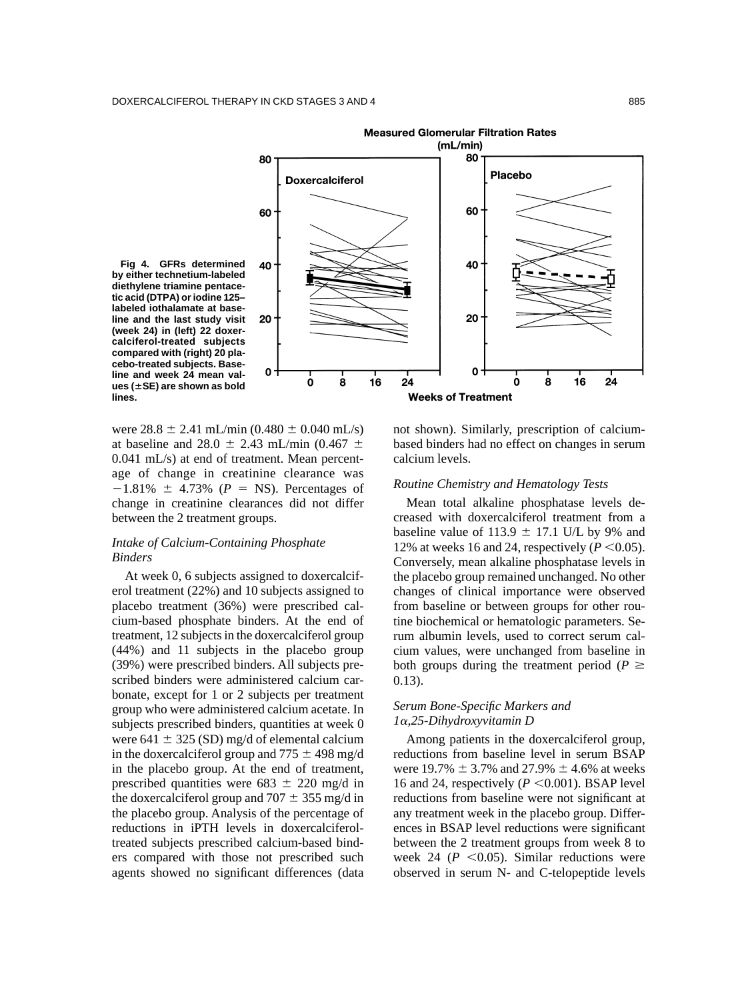

were  $28.8 \pm 2.41$  mL/min (0.480  $\pm$  0.040 mL/s) at baseline and 28.0  $\pm$  2.43 mL/min (0.467  $\pm$ 0.041 mL/s) at end of treatment. Mean percentage of change in creatinine clearance was  $-1.81\% \pm 4.73\%$  ( $P = NS$ ). Percentages of change in creatinine clearances did not differ between the 2 treatment groups.

# *Intake of Calcium-Containing Phosphate Binders*

At week 0, 6 subjects assigned to doxercalciferol treatment (22%) and 10 subjects assigned to placebo treatment (36%) were prescribed calcium-based phosphate binders. At the end of treatment, 12 subjects in the doxercalciferol group (44%) and 11 subjects in the placebo group (39%) were prescribed binders. All subjects prescribed binders were administered calcium carbonate, except for 1 or 2 subjects per treatment group who were administered calcium acetate. In subjects prescribed binders, quantities at week 0 were 641  $\pm$  325 (SD) mg/d of elemental calcium in the doxercalciferol group and  $775 \pm 498$  mg/d in the placebo group. At the end of treatment, prescribed quantities were  $683 \pm 220$  mg/d in the doxercalciferol group and  $707 \pm 355$  mg/d in the placebo group. Analysis of the percentage of reductions in iPTH levels in doxercalciferoltreated subjects prescribed calcium-based binders compared with those not prescribed such agents showed no significant differences (data

not shown). Similarly, prescription of calciumbased binders had no effect on changes in serum calcium levels.

# *Routine Chemistry and Hematology Tests*

Mean total alkaline phosphatase levels decreased with doxercalciferol treatment from a baseline value of 113.9  $\pm$  17.1 U/L by 9% and 12% at weeks 16 and 24, respectively  $(P \le 0.05)$ . Conversely, mean alkaline phosphatase levels in the placebo group remained unchanged. No other changes of clinical importance were observed from baseline or between groups for other routine biochemical or hematologic parameters. Serum albumin levels, used to correct serum calcium values, were unchanged from baseline in both groups during the treatment period ( $P \geq$ 0.13).

# *Serum Bone-Specific Markers and 1*-*,25-Dihydroxyvitamin D*

Among patients in the doxercalciferol group, reductions from baseline level in serum BSAP were 19.7%  $\pm$  3.7% and 27.9%  $\pm$  4.6% at weeks 16 and 24, respectively  $(P \le 0.001)$ . BSAP level reductions from baseline were not significant at any treatment week in the placebo group. Differences in BSAP level reductions were significant between the 2 treatment groups from week 8 to week 24 ( $P \leq 0.05$ ). Similar reductions were observed in serum N- and C-telopeptide levels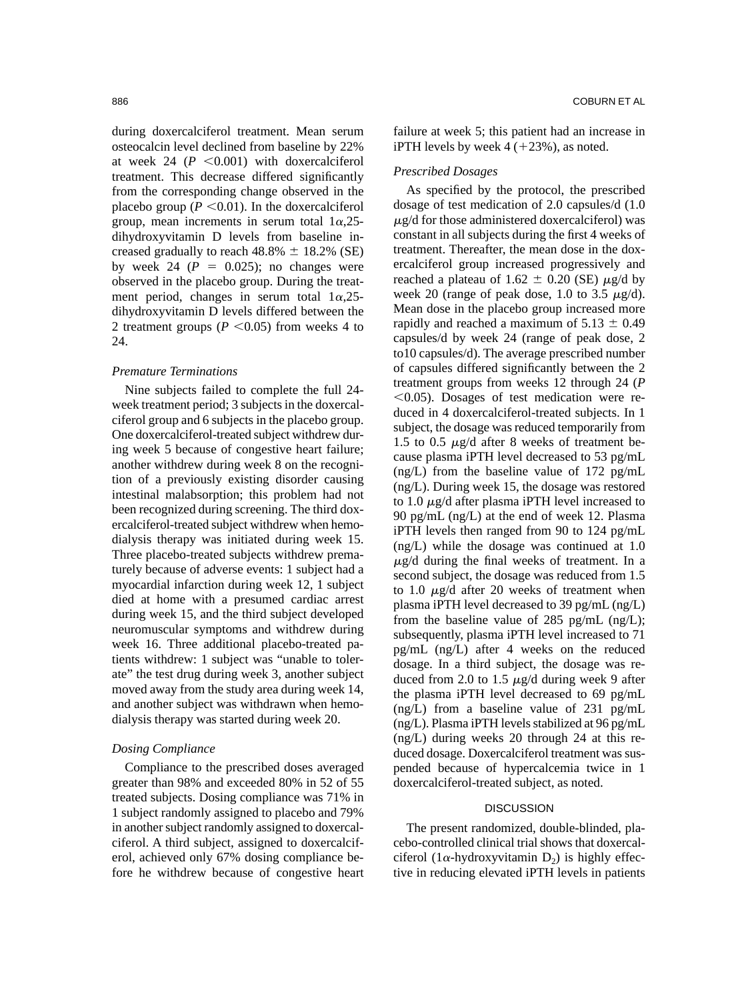during doxercalciferol treatment. Mean serum osteocalcin level declined from baseline by 22% at week 24  $(P \leq 0.001)$  with doxercalciferol treatment. This decrease differed significantly from the corresponding change observed in the placebo group ( $P \le 0.01$ ). In the doxercalciferol group, mean increments in serum total  $1\alpha,25$ dihydroxyvitamin D levels from baseline increased gradually to reach  $48.8\% \pm 18.2\%$  (SE) by week 24  $(P = 0.025)$ ; no changes were observed in the placebo group. During the treatment period, changes in serum total  $1\alpha,25$ dihydroxyvitamin D levels differed between the 2 treatment groups ( $P \le 0.05$ ) from weeks 4 to 24.

# *Premature Terminations*

Nine subjects failed to complete the full 24 week treatment period; 3 subjects in the doxercalciferol group and 6 subjects in the placebo group. One doxercalciferol-treated subject withdrew during week 5 because of congestive heart failure; another withdrew during week 8 on the recognition of a previously existing disorder causing intestinal malabsorption; this problem had not been recognized during screening. The third doxercalciferol-treated subject withdrew when hemodialysis therapy was initiated during week 15. Three placebo-treated subjects withdrew prematurely because of adverse events: 1 subject had a myocardial infarction during week 12, 1 subject died at home with a presumed cardiac arrest during week 15, and the third subject developed neuromuscular symptoms and withdrew during week 16. Three additional placebo-treated patients withdrew: 1 subject was "unable to tolerate" the test drug during week 3, another subject moved away from the study area during week 14, and another subject was withdrawn when hemodialysis therapy was started during week 20.

### *Dosing Compliance*

Compliance to the prescribed doses averaged greater than 98% and exceeded 80% in 52 of 55 treated subjects. Dosing compliance was 71% in 1 subject randomly assigned to placebo and 79% in another subject randomly assigned to doxercalciferol. A third subject, assigned to doxercalciferol, achieved only 67% dosing compliance before he withdrew because of congestive heart

failure at week 5; this patient had an increase in iPTH levels by week 4 ( 23%), as noted.

# *Prescribed Dosages*

As specified by the protocol, the prescribed dosage of test medication of 2.0 capsules/d (1.0  $\mu$ g/d for those administered doxercalciferol) was constant in all subjects during the first 4 weeks of treatment. Thereafter, the mean dose in the doxercalciferol group increased progressively and reached a plateau of 1.62  $\pm$  0.20 (SE)  $\mu$ g/d by week 20 (range of peak dose, 1.0 to 3.5  $\mu$ g/d). Mean dose in the placebo group increased more rapidly and reached a maximum of  $5.13 \pm 0.49$ capsules/d by week 24 (range of peak dose, 2 to10 capsules/d). The average prescribed number of capsules differed significantly between the 2 treatment groups from weeks 12 through 24 (*P*  $\leq$ 0.05). Dosages of test medication were reduced in 4 doxercalciferol-treated subjects. In 1 subject, the dosage was reduced temporarily from 1.5 to 0.5  $\mu$ g/d after 8 weeks of treatment because plasma iPTH level decreased to 53 pg/mL (ng/L) from the baseline value of 172 pg/mL (ng/L). During week 15, the dosage was restored to 1.0  $\mu$ g/d after plasma iPTH level increased to 90 pg/mL (ng/L) at the end of week 12. Plasma iPTH levels then ranged from 90 to 124 pg/mL (ng/L) while the dosage was continued at 1.0  $\mu$ g/d during the final weeks of treatment. In a second subject, the dosage was reduced from 1.5 to 1.0  $\mu$ g/d after 20 weeks of treatment when plasma iPTH level decreased to 39 pg/mL (ng/L) from the baseline value of 285 pg/mL  $(ng/L)$ ; subsequently, plasma iPTH level increased to 71 pg/mL (ng/L) after 4 weeks on the reduced dosage. In a third subject, the dosage was reduced from 2.0 to 1.5  $\mu$ g/d during week 9 after the plasma iPTH level decreased to 69 pg/mL (ng/L) from a baseline value of 231 pg/mL (ng/L). Plasma iPTH levels stabilized at 96 pg/mL (ng/L) during weeks 20 through 24 at this reduced dosage. Doxercalciferol treatment was suspended because of hypercalcemia twice in 1 doxercalciferol-treated subject, as noted.

# **DISCUSSION**

The present randomized, double-blinded, placebo-controlled clinical trial shows that doxercalciferol ( $1\alpha$ -hydroxyvitamin D<sub>2</sub>) is highly effective in reducing elevated iPTH levels in patients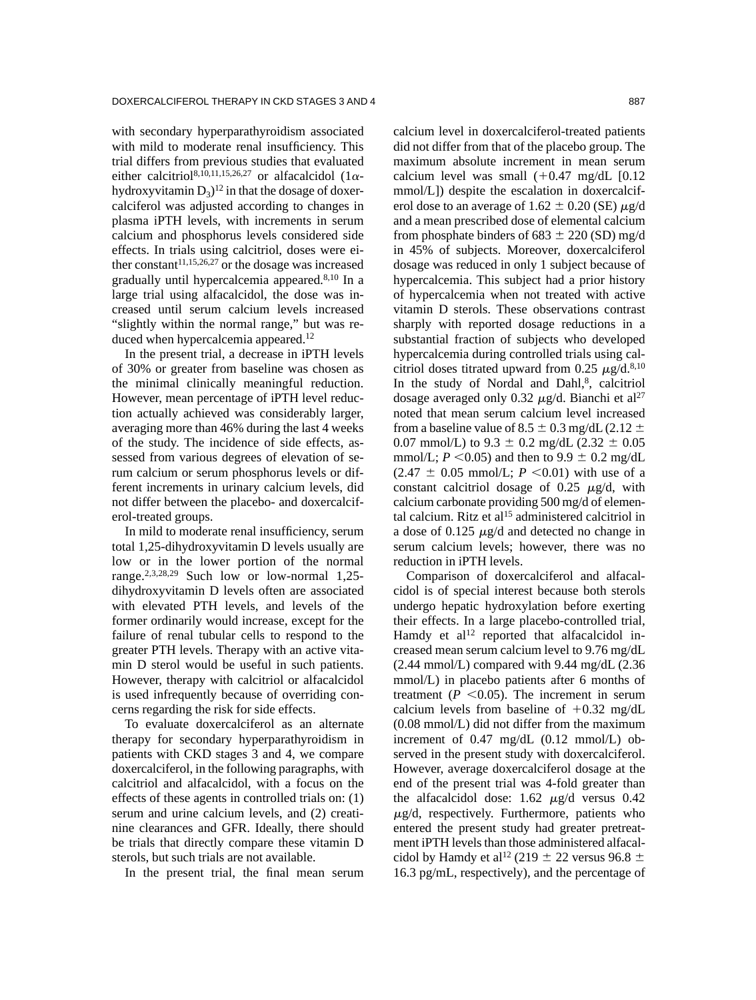with secondary hyperparathyroidism associated with mild to moderate renal insufficiency. This trial differs from previous studies that evaluated either calcitriol<sup>8,10,11,15,26,27</sup> or alfacalcidol (1 $\alpha$ hydroxyvitamin  $D_3$ <sup>12</sup> in that the dosage of doxercalciferol was adjusted according to changes in plasma iPTH levels, with increments in serum calcium and phosphorus levels considered side effects. In trials using calcitriol, doses were either constant<sup>11,15,26,27</sup> or the dosage was increased gradually until hypercalcemia appeared.8,10 In a large trial using alfacalcidol, the dose was increased until serum calcium levels increased "slightly within the normal range," but was reduced when hypercalcemia appeared.<sup>12</sup>

In the present trial, a decrease in iPTH levels of 30% or greater from baseline was chosen as the minimal clinically meaningful reduction. However, mean percentage of iPTH level reduction actually achieved was considerably larger, averaging more than 46% during the last 4 weeks of the study. The incidence of side effects, assessed from various degrees of elevation of serum calcium or serum phosphorus levels or different increments in urinary calcium levels, did not differ between the placebo- and doxercalciferol-treated groups.

In mild to moderate renal insufficiency, serum total 1,25-dihydroxyvitamin D levels usually are low or in the lower portion of the normal range.2,3,28,29 Such low or low-normal 1,25 dihydroxyvitamin D levels often are associated with elevated PTH levels, and levels of the former ordinarily would increase, except for the failure of renal tubular cells to respond to the greater PTH levels. Therapy with an active vitamin D sterol would be useful in such patients. However, therapy with calcitriol or alfacalcidol is used infrequently because of overriding concerns regarding the risk for side effects.

To evaluate doxercalciferol as an alternate therapy for secondary hyperparathyroidism in patients with CKD stages 3 and 4, we compare doxercalciferol, in the following paragraphs, with calcitriol and alfacalcidol, with a focus on the effects of these agents in controlled trials on: (1) serum and urine calcium levels, and (2) creatinine clearances and GFR. Ideally, there should be trials that directly compare these vitamin D sterols, but such trials are not available.

In the present trial, the final mean serum

calcium level in doxercalciferol-treated patients did not differ from that of the placebo group. The maximum absolute increment in mean serum calcium level was small  $(+0.47 \text{ mg/dL}$  [0.12 mmol/L]) despite the escalation in doxercalciferol dose to an average of  $1.62 \pm 0.20$  (SE)  $\mu$ g/d and a mean prescribed dose of elemental calcium from phosphate binders of 683  $\pm$  220 (SD) mg/d in 45% of subjects. Moreover, doxercalciferol dosage was reduced in only 1 subject because of hypercalcemia. This subject had a prior history of hypercalcemia when not treated with active vitamin D sterols. These observations contrast sharply with reported dosage reductions in a substantial fraction of subjects who developed hypercalcemia during controlled trials using calcitriol doses titrated upward from 0.25  $\mu$ g/d.<sup>8,10</sup> In the study of Nordal and Dahl,<sup>8</sup>, calcitriol dosage averaged only 0.32  $\mu$ g/d. Bianchi et al<sup>27</sup> noted that mean serum calcium level increased from a baseline value of 8.5  $\pm$  0.3 mg/dL (2.12  $\pm$ 0.07 mmol/L) to  $9.3 \pm 0.2$  mg/dL (2.32  $\pm$  0.05 mmol/L;  $P \le 0.05$ ) and then to  $9.9 \pm 0.2$  mg/dL  $(2.47 \pm 0.05 \text{ mmol/L}; P \leq 0.01)$  with use of a constant calcitriol dosage of 0.25  $\mu$ g/d, with calcium carbonate providing 500 mg/d of elemental calcium. Ritz et al<sup>15</sup> administered calcitriol in a dose of 0.125  $\mu$ g/d and detected no change in serum calcium levels; however, there was no reduction in iPTH levels.

Comparison of doxercalciferol and alfacalcidol is of special interest because both sterols undergo hepatic hydroxylation before exerting their effects. In a large placebo-controlled trial, Hamdy et  $al^{12}$  reported that alfacalcidol increased mean serum calcium level to 9.76 mg/dL  $(2.44 \text{ mmol/L})$  compared with 9.44 mg/dL  $(2.36$ mmol/L) in placebo patients after 6 months of treatment ( $P \le 0.05$ ). The increment in serum calcium levels from baseline of  $+0.32$  mg/dL (0.08 mmol/L) did not differ from the maximum increment of 0.47 mg/dL (0.12 mmol/L) observed in the present study with doxercalciferol. However, average doxercalciferol dosage at the end of the present trial was 4-fold greater than the alfacalcidol dose:  $1.62 \mu g/d$  versus 0.42  $\mu$ g/d, respectively. Furthermore, patients who entered the present study had greater pretreatment iPTH levels than those administered alfacalcidol by Hamdy et al<sup>12</sup> (219  $\pm$  22 versus 96.8  $\pm$ 16.3 pg/mL, respectively), and the percentage of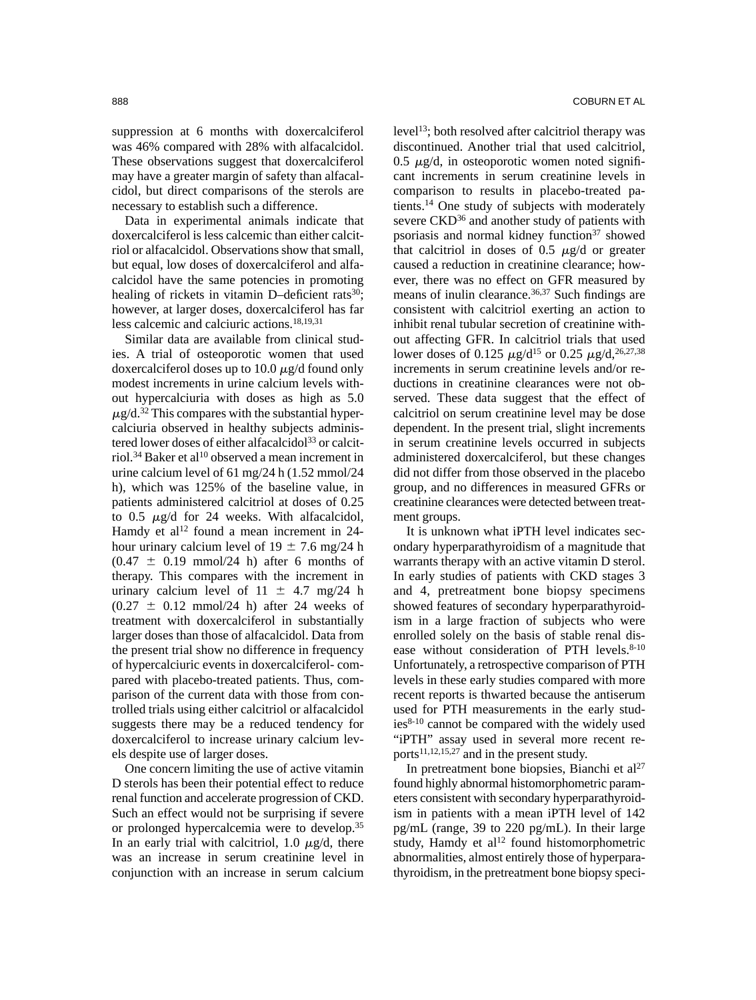suppression at 6 months with doxercalciferol was 46% compared with 28% with alfacalcidol. These observations suggest that doxercalciferol may have a greater margin of safety than alfacalcidol, but direct comparisons of the sterols are necessary to establish such a difference.

Data in experimental animals indicate that doxercalciferol is less calcemic than either calcitriol or alfacalcidol. Observations show that small, but equal, low doses of doxercalciferol and alfacalcidol have the same potencies in promoting healing of rickets in vitamin D–deficient rats<sup>30</sup>; however, at larger doses, doxercalciferol has far less calcemic and calciuric actions.18,19,31

Similar data are available from clinical studies. A trial of osteoporotic women that used doxercalciferol doses up to 10.0  $\mu$ g/d found only modest increments in urine calcium levels without hypercalciuria with doses as high as 5.0  $\mu$ g/d.<sup>32</sup> This compares with the substantial hypercalciuria observed in healthy subjects administered lower doses of either alfacalcidol<sup>33</sup> or calcitriol.<sup>34</sup> Baker et al<sup>10</sup> observed a mean increment in urine calcium level of 61 mg/24 h (1.52 mmol/24 h), which was 125% of the baseline value, in patients administered calcitriol at doses of 0.25 to 0.5  $\mu$ g/d for 24 weeks. With alfacalcidol, Hamdy et al<sup>12</sup> found a mean increment in  $24$ hour urinary calcium level of  $19 \pm 7.6$  mg/24 h  $(0.47 \pm 0.19 \text{ mmol}/24 \text{ h})$  after 6 months of therapy. This compares with the increment in urinary calcium level of  $11 \pm 4.7$  mg/24 h  $(0.27 \pm 0.12 \text{ mmol}/24 \text{ h})$  after 24 weeks of treatment with doxercalciferol in substantially larger doses than those of alfacalcidol. Data from the present trial show no difference in frequency of hypercalciuric events in doxercalciferol- compared with placebo-treated patients. Thus, comparison of the current data with those from controlled trials using either calcitriol or alfacalcidol suggests there may be a reduced tendency for doxercalciferol to increase urinary calcium levels despite use of larger doses.

One concern limiting the use of active vitamin D sterols has been their potential effect to reduce renal function and accelerate progression of CKD. Such an effect would not be surprising if severe or prolonged hypercalcemia were to develop.35 In an early trial with calcitriol, 1.0  $\mu$ g/d, there was an increase in serum creatinine level in conjunction with an increase in serum calcium

level13; both resolved after calcitriol therapy was discontinued. Another trial that used calcitriol, 0.5  $\mu$ g/d, in osteoporotic women noted significant increments in serum creatinine levels in comparison to results in placebo-treated patients.14 One study of subjects with moderately severe CKD<sup>36</sup> and another study of patients with psoriasis and normal kidney function<sup>37</sup> showed that calcitriol in doses of 0.5  $\mu$ g/d or greater caused a reduction in creatinine clearance; however, there was no effect on GFR measured by means of inulin clearance.<sup>36,37</sup> Such findings are consistent with calcitriol exerting an action to inhibit renal tubular secretion of creatinine without affecting GFR. In calcitriol trials that used lower doses of 0.125  $\mu$ g/d<sup>15</sup> or 0.25  $\mu$ g/d,<sup>26,27,38</sup> increments in serum creatinine levels and/or reductions in creatinine clearances were not observed. These data suggest that the effect of calcitriol on serum creatinine level may be dose dependent. In the present trial, slight increments in serum creatinine levels occurred in subjects administered doxercalciferol, but these changes did not differ from those observed in the placebo group, and no differences in measured GFRs or creatinine clearances were detected between treatment groups.

It is unknown what iPTH level indicates secondary hyperparathyroidism of a magnitude that warrants therapy with an active vitamin D sterol. In early studies of patients with CKD stages 3 and 4, pretreatment bone biopsy specimens showed features of secondary hyperparathyroidism in a large fraction of subjects who were enrolled solely on the basis of stable renal disease without consideration of PTH levels.<sup>8-10</sup> Unfortunately, a retrospective comparison of PTH levels in these early studies compared with more recent reports is thwarted because the antiserum used for PTH measurements in the early studies8-10 cannot be compared with the widely used "iPTH" assay used in several more recent reports<sup>11,12,15,27</sup> and in the present study.

In pretreatment bone biopsies, Bianchi et  $al^{27}$ found highly abnormal histomorphometric parameters consistent with secondary hyperparathyroidism in patients with a mean iPTH level of 142 pg/mL (range, 39 to 220 pg/mL). In their large study, Hamdy et al $^{12}$  found histomorphometric abnormalities, almost entirely those of hyperparathyroidism, in the pretreatment bone biopsy speci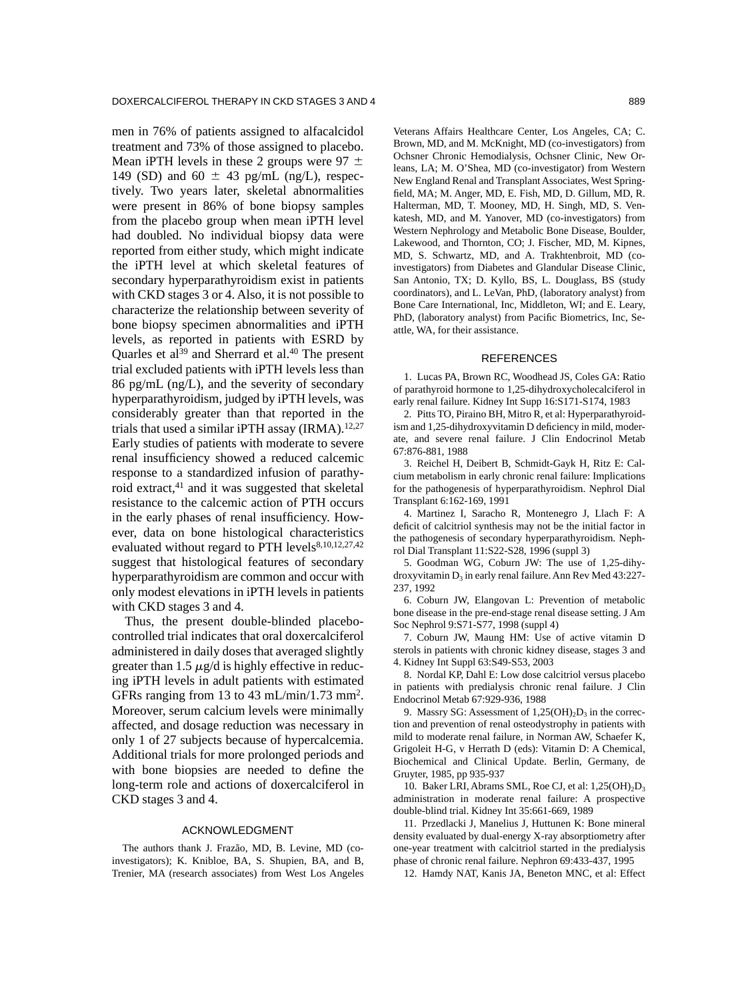men in 76% of patients assigned to alfacalcidol treatment and 73% of those assigned to placebo. Mean iPTH levels in these 2 groups were 97  $\pm$ 149 (SD) and 60  $\pm$  43 pg/mL (ng/L), respectively. Two years later, skeletal abnormalities were present in 86% of bone biopsy samples from the placebo group when mean iPTH level had doubled. No individual biopsy data were reported from either study, which might indicate the iPTH level at which skeletal features of secondary hyperparathyroidism exist in patients with CKD stages 3 or 4. Also, it is not possible to characterize the relationship between severity of bone biopsy specimen abnormalities and iPTH levels, as reported in patients with ESRD by Quarles et al<sup>39</sup> and Sherrard et al.<sup>40</sup> The present trial excluded patients with iPTH levels less than 86 pg/mL (ng/L), and the severity of secondary hyperparathyroidism, judged by iPTH levels, was considerably greater than that reported in the trials that used a similar iPTH assay  $(IRMA)$ .<sup>12,27</sup> Early studies of patients with moderate to severe renal insufficiency showed a reduced calcemic response to a standardized infusion of parathyroid extract,<sup>41</sup> and it was suggested that skeletal resistance to the calcemic action of PTH occurs in the early phases of renal insufficiency. However, data on bone histological characteristics evaluated without regard to PTH levels<sup>8,10,12,27,42</sup> suggest that histological features of secondary hyperparathyroidism are common and occur with only modest elevations in iPTH levels in patients with CKD stages 3 and 4.

Thus, the present double-blinded placebocontrolled trial indicates that oral doxercalciferol administered in daily doses that averaged slightly greater than 1.5  $\mu$ g/d is highly effective in reducing iPTH levels in adult patients with estimated GFRs ranging from 13 to 43 mL/min/1.73 mm2. Moreover, serum calcium levels were minimally affected, and dosage reduction was necessary in only 1 of 27 subjects because of hypercalcemia. Additional trials for more prolonged periods and with bone biopsies are needed to define the long-term role and actions of doxercalciferol in CKD stages 3 and 4.

### ACKNOWLEDGMENT

The authors thank J. Frazão, MD, B. Levine, MD (coinvestigators); K. Knibloe, BA, S. Shupien, BA, and B, Trenier, MA (research associates) from West Los Angeles

Brown, MD, and M. McKnight, MD (co-investigators) from Ochsner Chronic Hemodialysis, Ochsner Clinic, New Orleans, LA; M. O'Shea, MD (co-investigator) from Western New England Renal and Transplant Associates, West Springfield, MA; M. Anger, MD, E. Fish, MD, D. Gillum, MD, R. Halterman, MD, T. Mooney, MD, H. Singh, MD, S. Venkatesh, MD, and M. Yanover, MD (co-investigators) from Western Nephrology and Metabolic Bone Disease, Boulder, Lakewood, and Thornton, CO; J. Fischer, MD, M. Kipnes, MD, S. Schwartz, MD, and A. Trakhtenbroit, MD (coinvestigators) from Diabetes and Glandular Disease Clinic, San Antonio, TX; D. Kyllo, BS, L. Douglass, BS (study coordinators), and L. LeVan, PhD, (laboratory analyst) from Bone Care International, Inc, Middleton, WI; and E. Leary, PhD, (laboratory analyst) from Pacific Biometrics, Inc, Seattle, WA, for their assistance.

### REFERENCES

1. Lucas PA, Brown RC, Woodhead JS, Coles GA: Ratio of parathyroid hormone to 1,25-dihydroxycholecalciferol in early renal failure. Kidney Int Supp 16:S171-S174, 1983

2. Pitts TO, Piraino BH, Mitro R, et al: Hyperparathyroidism and 1,25-dihydroxyvitamin D deficiency in mild, moderate, and severe renal failure. J Clin Endocrinol Metab 67:876-881, 1988

3. Reichel H, Deibert B, Schmidt-Gayk H, Ritz E: Calcium metabolism in early chronic renal failure: Implications for the pathogenesis of hyperparathyroidism. Nephrol Dial Transplant 6:162-169, 1991

4. Martinez I, Saracho R, Montenegro J, Llach F: A deficit of calcitriol synthesis may not be the initial factor in the pathogenesis of secondary hyperparathyroidism. Nephrol Dial Transplant 11:S22-S28, 1996 (suppl 3)

5. Goodman WG, Coburn JW: The use of 1,25-dihydroxyvitamin  $D_3$  in early renal failure. Ann Rev Med 43:227-237, 1992

6. Coburn JW, Elangovan L: Prevention of metabolic bone disease in the pre-end-stage renal disease setting. J Am Soc Nephrol 9:S71-S77, 1998 (suppl 4)

7. Coburn JW, Maung HM: Use of active vitamin D sterols in patients with chronic kidney disease, stages 3 and 4. Kidney Int Suppl 63:S49-S53, 2003

8. Nordal KP, Dahl E: Low dose calcitriol versus placebo in patients with predialysis chronic renal failure. J Clin Endocrinol Metab 67:929-936, 1988

9. Massry SG: Assessment of  $1,25(OH)<sub>2</sub>D<sub>3</sub>$  in the correction and prevention of renal osteodystrophy in patients with mild to moderate renal failure, in Norman AW, Schaefer K, Grigoleit H-G, v Herrath D (eds): Vitamin D: A Chemical, Biochemical and Clinical Update. Berlin, Germany, de Gruyter, 1985, pp 935-937

10. Baker LRI, Abrams SML, Roe CJ, et al:  $1,25(OH)_{2}D_{3}$ administration in moderate renal failure: A prospective double-blind trial. Kidney Int 35:661-669, 1989

11. Przedlacki J, Manelius J, Huttunen K: Bone mineral density evaluated by dual-energy X-ray absorptiometry after one-year treatment with calcitriol started in the predialysis phase of chronic renal failure. Nephron 69:433-437, 1995

12. Hamdy NAT, Kanis JA, Beneton MNC, et al: Effect